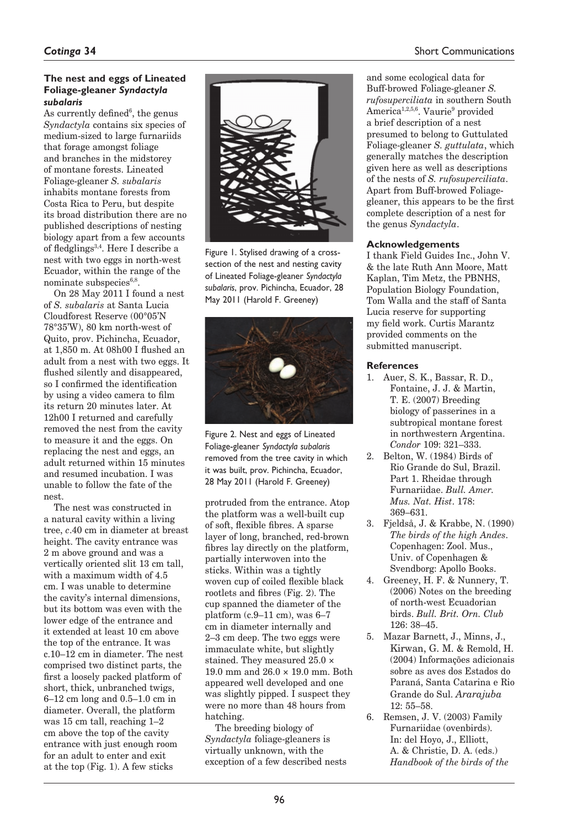## **The nest and eggs of Lineated Foliage-gleaner** *Syndactyla subalaris*

As currently defined<sup>6</sup>, the genus *Syndactyla* contains six species of medium-sized to large furnariids that forage amongst foliage and branches in the midstorey of montane forests. Lineated Foliage-gleaner *S. subalaris* inhabits montane forests from Costa Rica to Peru, but despite its broad distribution there are no published descriptions of nesting biology apart from a few accounts of fledglings3,4. Here I describe a nest with two eggs in north-west Ecuador, within the range of the nominate subspecies $6,8$ .

On 28 May 2011 I found a nest of *S. subalaris* at Santa Lucia Cloudforest Reserve (00°05'N 78°35'W), 80 km north-west of Quito, prov. Pichincha, Ecuador, at 1,850 m. At 08h00 I flushed an adult from a nest with two eggs. It flushed silently and disappeared. so I confirmed the identification by using a video camera to film its return 20 minutes later. At 12h00 I returned and carefully removed the nest from the cavity to measure it and the eggs. On replacing the nest and eggs, an adult returned within 15 minutes and resumed incubation. I was unable to follow the fate of the nest.

The nest was constructed in a natural cavity within a living tree, *c*.40 cm in diameter at breast height. The cavity entrance was 2 m above ground and was a vertically oriented slit 13 cm tall, with a maximum width of 4.5 cm. I was unable to determine the cavity's internal dimensions, but its bottom was even with the lower edge of the entrance and it extended at least 10 cm above the top of the entrance. It was c.10–12 cm in diameter. The nest comprised two distinct parts, the first a loosely packed platform of short, thick, unbranched twigs, 6–12 cm long and 0.5–1.0 cm in diameter. Overall, the platform was 15 cm tall, reaching 1–2 cm above the top of the cavity entrance with just enough room for an adult to enter and exit at the top (Fig. 1). A few sticks



Figure 1. Stylised drawing of a crosssection of the nest and nesting cavity of Lineated Foliage-gleaner *Syndactyla subalaris*, prov. Pichincha, Ecuador, 28 May 2011 (Harold F. Greeney)



Figure 2. Nest and eggs of Lineated Foliage-gleaner *Syndactyla subalaris* removed from the tree cavity in which it was built, prov. Pichincha, Ecuador, 28 May 2011 (Harold F. Greeney)

protruded from the entrance. Atop the platform was a well-built cup of soft, flexible fibres. A sparse layer of long, branched, red-brown fibres lay directly on the platform, partially interwoven into the sticks. Within was a tightly woven cup of coiled flexible black rootlets and fibres (Fig. 2). The cup spanned the diameter of the platform (c.9–11 cm), was 6–7 cm in diameter internally and 2–3 cm deep. The two eggs were immaculate white, but slightly stained. They measured 25.0 × 19.0 mm and 26.0 × 19.0 mm. Both appeared well developed and one was slightly pipped. I suspect they were no more than 48 hours from hatching.

The breeding biology of *Syndactyla* foliage-gleaners is virtually unknown, with the exception of a few described nests and some ecological data for Buff-browed Foliage-gleaner *S. rufosuperciliata* in southern South America<sup>1,2,5,6</sup>. Vaurie<sup>9</sup> provided a brief description of a nest presumed to belong to Guttulated Foliage-gleaner *S. guttulata*, which generally matches the description given here as well as descriptions of the nests of *S. rufosuperciliata*. Apart from Buff-browed Foliagegleaner, this appears to be the first complete description of a nest for the genus *Syndactyla*.

## **Acknowledgements**

I thank Field Guides Inc., John V. & the late Ruth Ann Moore, Matt Kaplan, Tim Metz, the PBNHS, Population Biology Foundation, Tom Walla and the staff of Santa Lucia reserve for supporting my field work. Curtis Marantz provided comments on the submitted manuscript.

## **References**

- 1. Auer, S. K., Bassar, R. D., Fontaine, J. J. & Martin, T. E. (2007) Breeding biology of passerines in a subtropical montane forest in northwestern Argentina. *Condor* 109: 321–333.
- 2. Belton, W. (1984) Birds of Rio Grande do Sul, Brazil. Part 1. Rheidae through Furnariidae. *Bull. Amer. Mus. Nat. Hist*. 178: 369–631.
- 3. Fjeldså, J. & Krabbe, N. (1990) *The birds of the high Andes*. Copenhagen: Zool. Mus., Univ. of Copenhagen & Svendborg: Apollo Books.
- 4. Greeney, H. F. & Nunnery, T. (2006) Notes on the breeding of north-west Ecuadorian birds. *Bull. Brit. Orn. Club* 126: 38–45.
- 5. Mazar Barnett, J., Minns, J., Kirwan, G. M. & Remold, H. (2004) Informações adicionais sobre as aves dos Estados do Paraná, Santa Catarina e Rio Grande do Sul. *Ararajuba* 12: 55–58.
- 6. Remsen, J. V. (2003) Family Furnariidae (ovenbirds). In: del Hoyo, J., Elliott, A. & Christie, D. A. (eds.) *Handbook of the birds of the*